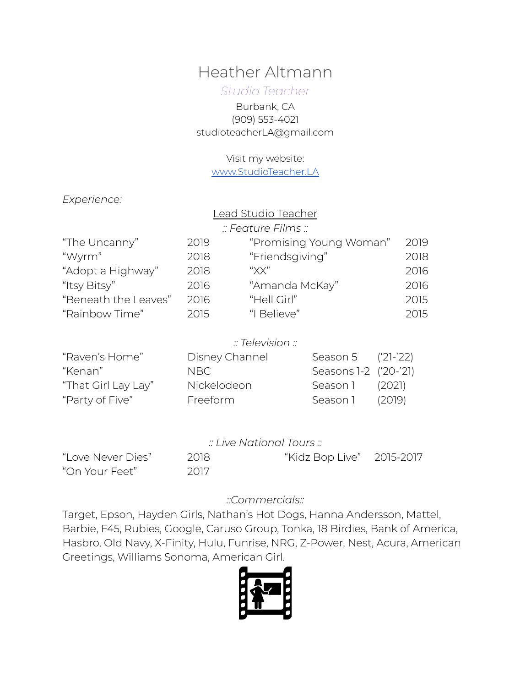# Heather Altmann

# *Studio Teacher*

Burbank, CA (909) 553-4021 studioteacherLA@gmail.com

#### Visit my website:

[www.StudioTeacher.LA](http://www.studioteacher.la)

*Experience:*

|  | Lead Studio Teacher |
|--|---------------------|
|  |                     |

| :: Feature Films :: |  |
|---------------------|--|
|                     |  |

| "The Uncanny"        | 2019 | "Promising Young Woman" | 2019 |
|----------------------|------|-------------------------|------|
| "Wyrm"               | 2018 | "Friendsgiving"         | 2018 |
| "Adopt a Highway"    | 2018 | " $XX"$                 | 2016 |
| "Itsy Bitsy"         | 2016 | "Amanda McKay"          | 2016 |
| "Beneath the Leaves" | 2016 | "Hell Girl"             | 2015 |
| "Rainbow Time"       | 2015 | "I Believe"             | 2015 |

## *:: Television ::*

| "Raven's Home"      | Disney Channel | Season 5 ('21-'22)    |        |
|---------------------|----------------|-----------------------|--------|
| "Kenan"             | NBC.           | Seasons 1-2 ('20-'21) |        |
| "That Girl Lay Lay" | Nickelodeon    | Season 1              | (2021) |
| "Party of Five"     | Freeform       | Season 1              | (2019) |

## *:: Live National Tours ::*

| "Love Never Dies" | 2018 | "Kidz Bop Live" 2015-2017 |  |
|-------------------|------|---------------------------|--|
| "On Your Feet"    | 2017 |                           |  |

## *::Commercials::*

Target, Epson, Hayden Girls, Nathan's Hot Dogs, Hanna Andersson, Mattel, Barbie, F45, Rubies, Google, Caruso Group, Tonka, 18 Birdies, Bank of America, Hasbro, Old Navy, X-Finity, Hulu, Funrise, NRG, Z-Power, Nest, Acura, American Greetings, Williams Sonoma, American Girl.